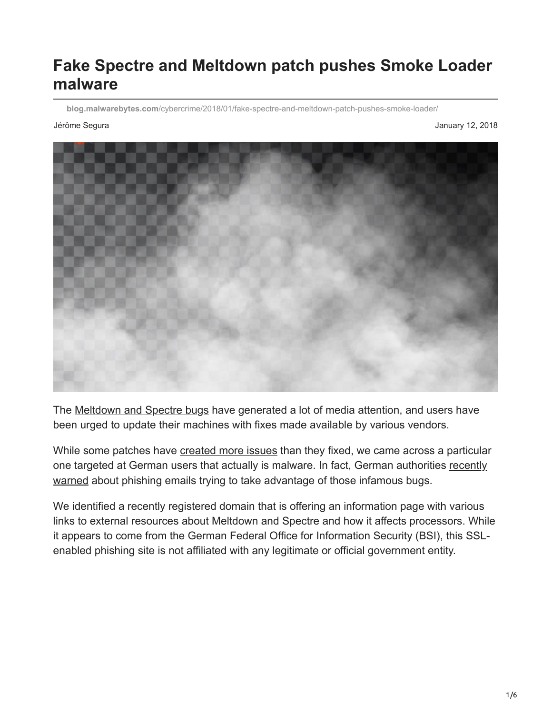## **Fake Spectre and Meltdown patch pushes Smoke Loader malware**

**blog.malwarebytes.com**[/cybercrime/2018/01/fake-spectre-and-meltdown-patch-pushes-smoke-loader/](https://blog.malwarebytes.com/cybercrime/2018/01/fake-spectre-and-meltdown-patch-pushes-smoke-loader/)

Jérôme Segura January 12, 2018



The [Meltdown and Spectre bugs](https://blog.malwarebytes.com/cybercrime/exploits/2018/01/meltdown-and-spectre-fallout-patching-problems-persist/) have generated a lot of media attention, and users have been urged to update their machines with fixes made available by various vendors.

While some patches have [created more issues](http://www.zdnet.com/article/meltdown-spectre-firmware-glitch-intel-warns-of-risk-of-sudden-reboots/) than they fixed, we came across a particular [one targeted at German users that actually is malware. In fact, German authorities recently](https://www.bsi-fuer-buerger.de/BSIFB/DE/Service/Aktuell/Informationen/Artikel/Vorsicht_gefaelschte_BSI_Webseite_11012018.html;jsessionid=43BCA277929EAC92F561F5EF3784C636.2_cid341) warned about phishing emails trying to take advantage of those infamous bugs.

We identified a recently registered domain that is offering an information page with various links to external resources about Meltdown and Spectre and how it affects processors. While it appears to come from the German Federal Office for Information Security (BSI), this SSLenabled phishing site is not affiliated with any legitimate or official government entity.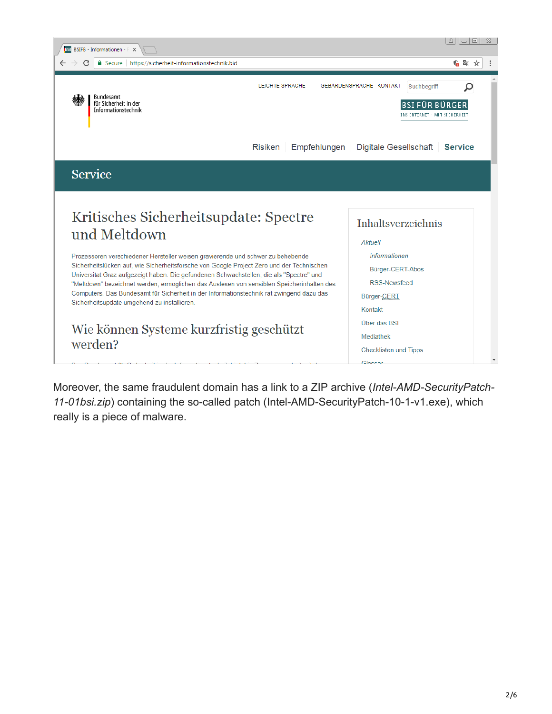

Moreover, the same fraudulent domain has a link to a ZIP archive (*Intel-AMD-SecurityPatch-11-01bsi.zip*) containing the so-called patch (Intel-AMD-SecurityPatch-10-1-v1.exe), which really is a piece of malware.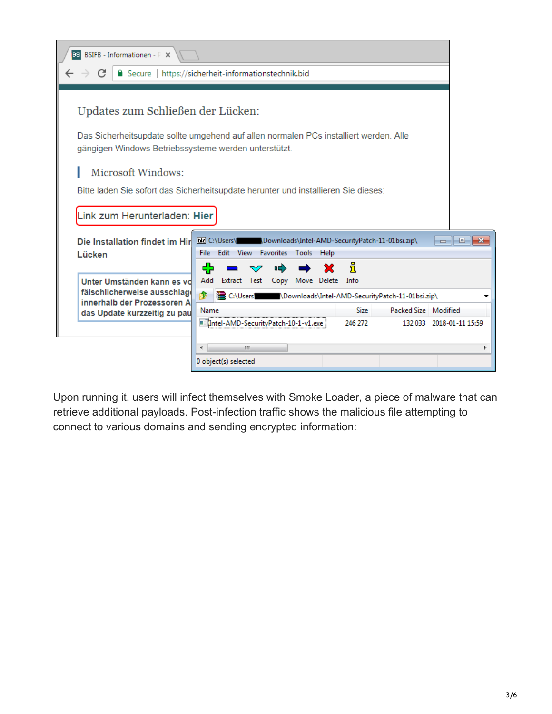| BSI BSIFB - Informationen - P X                                                                                                                                                                                                                                                                                                |                                                          |                               |                          |  |  |  |
|--------------------------------------------------------------------------------------------------------------------------------------------------------------------------------------------------------------------------------------------------------------------------------------------------------------------------------|----------------------------------------------------------|-------------------------------|--------------------------|--|--|--|
| $\rightarrow c$                                                                                                                                                                                                                                                                                                                | Secure   https://sicherheit-informationstechnik.bid      |                               |                          |  |  |  |
| Updates zum Schließen der Lücken:<br>Das Sicherheitsupdate sollte umgehend auf allen normalen PCs installiert werden. Alle<br>gängigen Windows Betriebssysteme werden unterstützt.<br>Microsoft Windows:<br>Bitte laden Sie sofort das Sicherheitsupdate herunter und installieren Sie dieses:<br>Link zum Herunterladen: Hier |                                                          |                               |                          |  |  |  |
| Die Installation findet im Hir<br>Lücken                                                                                                                                                                                                                                                                                       | Edit View Favorites Tools Help<br>File:<br>45<br>¤<br>V. | ึ่งเ                          | <u> HDK</u>              |  |  |  |
| Unter Umständen kann es vo<br>fälschlicherweise ausschlag                                                                                                                                                                                                                                                                      | Add Extract Test Copy Move Delete Info<br>Fb             |                               |                          |  |  |  |
| innerhalb der Prozessoren A                                                                                                                                                                                                                                                                                                    | Name                                                     | Packed Size Modified<br>Size: |                          |  |  |  |
| das Update kurzzeitig zu pau                                                                                                                                                                                                                                                                                                   | Intel-AMD-SecurityPatch-10-1-v1.exe                      | 246 272                       | 132 033 2018-01-11 15:59 |  |  |  |
|                                                                                                                                                                                                                                                                                                                                |                                                          |                               |                          |  |  |  |
|                                                                                                                                                                                                                                                                                                                                | ш                                                        |                               |                          |  |  |  |
|                                                                                                                                                                                                                                                                                                                                | 0 object(s) selected                                     |                               |                          |  |  |  |

Upon running it, users will infect themselves with [Smoke Loader](https://blog.malwarebytes.com/threat-analysis/2016/08/smoke-loader-downloader-with-a-smokescreen-still-alive/), a piece of malware that can retrieve additional payloads. Post-infection traffic shows the malicious file attempting to connect to various domains and sending encrypted information: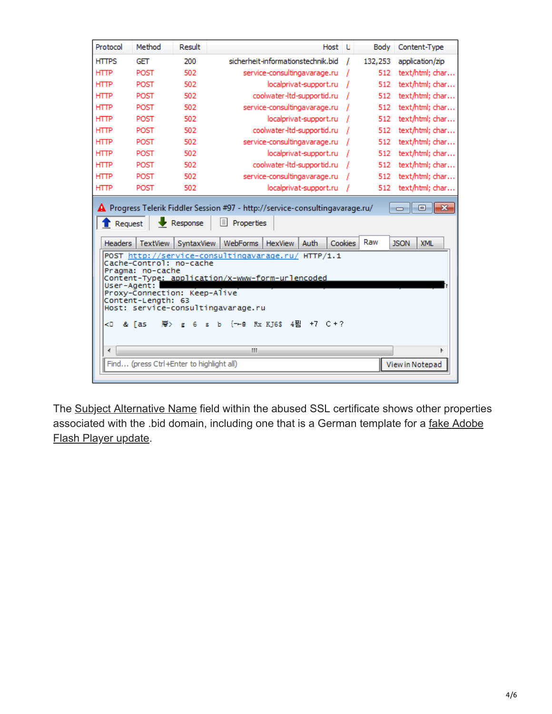| Protocol                                                                                                                                                                                                                                                                                       | Method                                   | Result     | Host<br>. U                                                 | Body<br>Content-Type             |  |  |
|------------------------------------------------------------------------------------------------------------------------------------------------------------------------------------------------------------------------------------------------------------------------------------------------|------------------------------------------|------------|-------------------------------------------------------------|----------------------------------|--|--|
| <b>HTTPS</b>                                                                                                                                                                                                                                                                                   | <b>GET</b>                               | 200        | sicherheit-informationstechnik.bid<br>I.                    | 132,253<br>application/zip       |  |  |
| <b>HTTP</b>                                                                                                                                                                                                                                                                                    | POST                                     | 502        | service-consultingavarage.ru                                | text/html; char<br>512           |  |  |
| <b>HTTP</b>                                                                                                                                                                                                                                                                                    | POST                                     | 502        | localprivat-support.ru                                      | 512<br>text/html; char           |  |  |
| <b>HTTP</b>                                                                                                                                                                                                                                                                                    | POST                                     | 502        | coolwater-ltd-supportid.ru                                  | text/html; char<br>512           |  |  |
| <b>HTTP</b>                                                                                                                                                                                                                                                                                    | POST                                     | 502        | service-consultingavarage.ru                                | 512<br>text/html; char           |  |  |
| <b>HTTP</b>                                                                                                                                                                                                                                                                                    | POST                                     | 502        | localprivat-support.ru                                      | 512<br>text/html; char           |  |  |
| <b>HTTP</b>                                                                                                                                                                                                                                                                                    | POST                                     | 502        | coolwater-ltd-supportid.ru                                  | text/html; char<br>512           |  |  |
| <b>HTTP</b>                                                                                                                                                                                                                                                                                    | POST                                     | 502        | service-consultingavarage.ru                                | text/html; char<br>512           |  |  |
| <b>HTTP</b>                                                                                                                                                                                                                                                                                    | POST                                     | 502        | localprivat-support.ru                                      | 512<br>text/html; char           |  |  |
| <b>HTTP</b>                                                                                                                                                                                                                                                                                    | POST                                     | 502        | coolwater-ltd-supportid.ru                                  | 512<br>text/html; char           |  |  |
| <b>HTTP</b>                                                                                                                                                                                                                                                                                    | POST                                     | 502        | service-consultingavarage.ru                                | 512<br>text/html; char           |  |  |
| <b>HTTP</b>                                                                                                                                                                                                                                                                                    | POST                                     | 502        | localprivat-support.ru                                      | text/html; char<br>512           |  |  |
| Request                                                                                                                                                                                                                                                                                        |                                          | Response   | Ħ<br>Properties                                             |                                  |  |  |
| <b>Headers</b>                                                                                                                                                                                                                                                                                 | <b>TextView</b>                          | SyntaxView | <b>WebForms</b><br>Auth<br><b>HexView</b><br><b>Cookies</b> | Raw<br><b>XML</b><br><b>JSON</b> |  |  |
| POST http://service-consultingavarage.ru/ HTTP/1.1<br>Cache-Control: no-cache<br>Pragma: no-cache<br>Content-Type: application/x-www-form-urlencoded<br>User-Agent:<br>Proxy-Connection: Keep-Alive<br>Content-Length: 63<br>Host: service-consultingavarage.ru<br>Rx KJ6\$ 4푐<br>$+7$ $C + 7$ |                                          |            |                                                             |                                  |  |  |
| ≺⊡<br>&                                                                                                                                                                                                                                                                                        | <b>ras</b>                               |            | 1-0                                                         |                                  |  |  |
| ∢                                                                                                                                                                                                                                                                                              |                                          |            | ш                                                           |                                  |  |  |
|                                                                                                                                                                                                                                                                                                | Find (press Ctrl+Enter to highlight all) |            |                                                             | View in Notepad                  |  |  |

The [Subject Alternative Name](https://en.wikipedia.org/wiki/Subject_Alternative_Name) field within the abused SSL certificate shows other properties [associated with the .bid domain, including one that is a German template for a fake Adobe](https://blog.malwarebytes.com/wp-content/uploads/2018/01/fakeFlash.png) Flash Player update.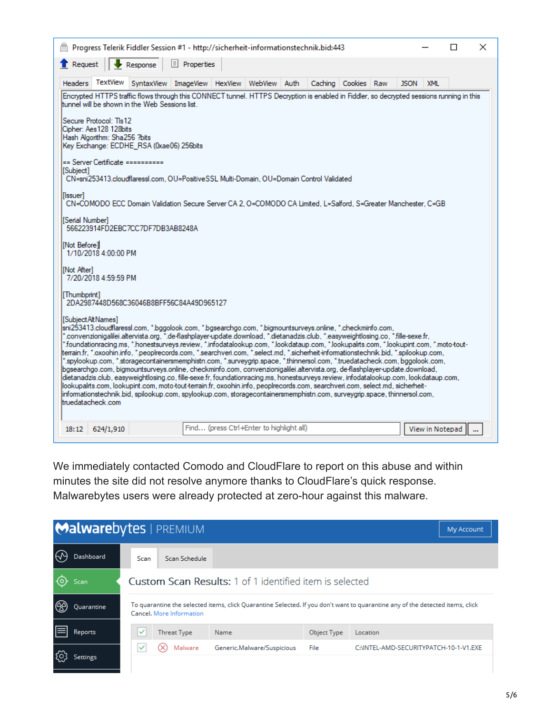| ×<br>Progress Telerik Fiddler Session #1 - http://sicherheit-informationstechnik.bid:443<br>П                                                                                                                                                                                                                                                                                                                                                                                                                                                                                                                                                                                                                                                                                                                                                                                                                                                                                                                                                                                                                                                                                                                                                      |                                          |              |  |         |             |  |             |                 |          |
|----------------------------------------------------------------------------------------------------------------------------------------------------------------------------------------------------------------------------------------------------------------------------------------------------------------------------------------------------------------------------------------------------------------------------------------------------------------------------------------------------------------------------------------------------------------------------------------------------------------------------------------------------------------------------------------------------------------------------------------------------------------------------------------------------------------------------------------------------------------------------------------------------------------------------------------------------------------------------------------------------------------------------------------------------------------------------------------------------------------------------------------------------------------------------------------------------------------------------------------------------|------------------------------------------|--------------|--|---------|-------------|--|-------------|-----------------|----------|
| Request<br>Response                                                                                                                                                                                                                                                                                                                                                                                                                                                                                                                                                                                                                                                                                                                                                                                                                                                                                                                                                                                                                                                                                                                                                                                                                                | $\equiv$ Properties                      |              |  |         |             |  |             |                 |          |
| TextView<br>SyntaxView<br><b>Headers</b>                                                                                                                                                                                                                                                                                                                                                                                                                                                                                                                                                                                                                                                                                                                                                                                                                                                                                                                                                                                                                                                                                                                                                                                                           | ImageView HexView                        | WebView Auth |  | Caching | Cookies Raw |  | <b>JSON</b> | <b>XML</b>      |          |
| Encrypted HTTPS traffic flows through this CONNECT tunnel. HTTPS Decryption is enabled in Fiddler, so decrypted sessions running in this<br>tunnel will be shown in the Web Sessions list.                                                                                                                                                                                                                                                                                                                                                                                                                                                                                                                                                                                                                                                                                                                                                                                                                                                                                                                                                                                                                                                         |                                          |              |  |         |             |  |             |                 |          |
| Secure Protocol: Tis12<br>Cipher: Aes128 128bits<br>Hash Algorithm: Sha256 ?bits<br>Key Exchange: ECDHE_RSA (0xae06) 256bits                                                                                                                                                                                                                                                                                                                                                                                                                                                                                                                                                                                                                                                                                                                                                                                                                                                                                                                                                                                                                                                                                                                       |                                          |              |  |         |             |  |             |                 |          |
| == Server Certificate ==========<br>[Subject]<br>CN=sni253413.cloudflaressl.com, OU=PositiveSSL Multi-Domain, OU=Domain Control Validated                                                                                                                                                                                                                                                                                                                                                                                                                                                                                                                                                                                                                                                                                                                                                                                                                                                                                                                                                                                                                                                                                                          |                                          |              |  |         |             |  |             |                 |          |
| [Issuer]<br>CN=COMODO ECC Domain Validation Secure Server CA 2, O=COMODO CA Limited, L=Salford, S=Greater Manchester, C=GB                                                                                                                                                                                                                                                                                                                                                                                                                                                                                                                                                                                                                                                                                                                                                                                                                                                                                                                                                                                                                                                                                                                         |                                          |              |  |         |             |  |             |                 |          |
| [Serial Number]<br>566223914FD2EBC7CC7DF7DB3AB8248A                                                                                                                                                                                                                                                                                                                                                                                                                                                                                                                                                                                                                                                                                                                                                                                                                                                                                                                                                                                                                                                                                                                                                                                                |                                          |              |  |         |             |  |             |                 |          |
| [Not Before] <br>1/10/2018 4:00:00 PM                                                                                                                                                                                                                                                                                                                                                                                                                                                                                                                                                                                                                                                                                                                                                                                                                                                                                                                                                                                                                                                                                                                                                                                                              |                                          |              |  |         |             |  |             |                 |          |
| [Not After]<br>7/20/2018 4:59:59 PM                                                                                                                                                                                                                                                                                                                                                                                                                                                                                                                                                                                                                                                                                                                                                                                                                                                                                                                                                                                                                                                                                                                                                                                                                |                                          |              |  |         |             |  |             |                 |          |
| [Thumbprint]<br>2DA2987448D568C36046B8BFF56C84A49D965127                                                                                                                                                                                                                                                                                                                                                                                                                                                                                                                                                                                                                                                                                                                                                                                                                                                                                                                                                                                                                                                                                                                                                                                           |                                          |              |  |         |             |  |             |                 |          |
| [Subject Alt Names]<br>, sni253413.cloudflaressl.com, *.bggolook.com, *.bgsearchgo.com, *.bigmountsurveys.online, *.checkminfo.com,<br>".convenzionigalilei.altervista.org, ".de-flashplayer-update.download, ".dietanadzis.club, ".easyweightlosing.co, ".fille-sexe.fr,<br>*foundationracing.ms, *.honestsurveys.review, *.infodatalookup.com, *.lookdataup.com, *.lookupalrts.com, *.lookupint.com, *.moto-tout-<br> terrain.fr, *.oxoohin.info, *.peoplrecords.com, *.searchveri.com, *.select.md, *.sicherheit-informationstechnik.bid, *.spilookup.com,<br>.spylookup.com, *.storagecontainersmemphistn.com, *.surveygrip.space, *.thinnersol.com, *.truedatacheck.com, bggolook.com,<br>bgsearchgo.com, bigmountsurveys.online, checkminfo.com, convenzionigalilei.altervista.org, de-flashplayer-update.download,<br>dietanadzis.club, easyweightlosing.co, fille-sexe.fr, foundationracing.ms, honestsurveys.review, infodatalookup.com, lookdataup.com,<br>lookupalits.com, lookupint.com, moto tout terrain.fr, oxoohin.info, peoplrecords.com, searchveri.com, select.md, sicherheit-<br>informationstechnik.bid, spilookup.com, spylookup.com, storagecontainersmemphistn.com, surveygrip.space, thinnersol.com,<br>truedatacheck.com |                                          |              |  |         |             |  |             |                 |          |
| 18:12<br>624/1,910                                                                                                                                                                                                                                                                                                                                                                                                                                                                                                                                                                                                                                                                                                                                                                                                                                                                                                                                                                                                                                                                                                                                                                                                                                 | Find (press Ctrl+Enter to highlight all) |              |  |         |             |  |             | View in Notepad | $\cdots$ |

We immediately contacted Comodo and CloudFlare to report on this abuse and within minutes the site did not resolve anymore thanks to CloudFlare's quick response. Malwarebytes users were already protected at zero-hour against this malware.

|                                                                                                                                                                         | Malwarebytes   PREMIUM                                         |                            |             | My Account                             |  |  |  |  |
|-------------------------------------------------------------------------------------------------------------------------------------------------------------------------|----------------------------------------------------------------|----------------------------|-------------|----------------------------------------|--|--|--|--|
| <b>Dashboard</b>                                                                                                                                                        | Scan<br>Scan Schedule                                          |                            |             |                                        |  |  |  |  |
| Scan                                                                                                                                                                    | <b>Custom Scan Results: 1 of 1 identified item is selected</b> |                            |             |                                        |  |  |  |  |
| To quarantine the selected items, click Quarantine Selected. If you don't want to quarantine any of the detected items, click<br>Quarantine<br>Cancel, More Information |                                                                |                            |             |                                        |  |  |  |  |
| Reports                                                                                                                                                                 | <b>Threat Type</b>                                             | Name                       | Object Type | Location                               |  |  |  |  |
| Settings                                                                                                                                                                | Malware                                                        | Generic.Malware/Suspicious | File        | C:\INTEL-AMD-SECURITYPATCH-10-1-V1.EXE |  |  |  |  |